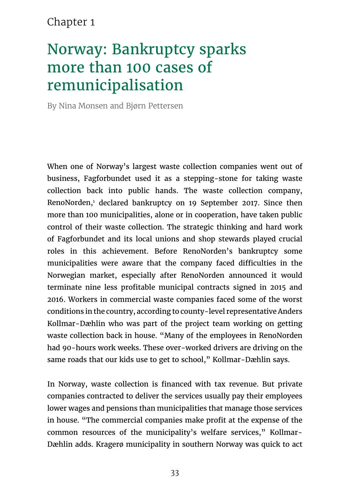## Chapter 1

# Norway: Bankruptcy sparks more than 100 cases of remunicipalisation

By Nina Monsen and Bjørn Pettersen

When one of Norway's largest waste collection companies went out of business, Fagforbundet used it as a stepping-stone for taking waste collection back into public hands. The waste collection company, RenoNorden,1 declared bankruptcy on 19 September 2017. Since then more than 100 municipalities, alone or in cooperation, have taken public control of their waste collection. The strategic thinking and hard work of Fagforbundet and its local unions and shop stewards played crucial roles in this achievement. Before RenoNorden's bankruptcy some municipalities were aware that the company faced difficulties in the Norwegian market, especially after RenoNorden announced it would terminate nine less profitable municipal contracts signed in 2015 and 2016. Workers in commercial waste companies faced some of the worst conditions in the country, according to county-level representative Anders Kollmar-Dæhlin who was part of the project team working on getting waste collection back in house. "Many of the employees in RenoNorden had 90-hours work weeks. These over-worked drivers are driving on the same roads that our kids use to get to school," Kollmar-Dæhlin says.

In Norway, waste collection is financed with tax revenue. But private companies contracted to deliver the services usually pay their employees lower wages and pensions than municipalities that manage those services in house. "The commercial companies make profit at the expense of the common resources of the municipality's welfare services," Kollmar-Dæhlin adds. Kragerø municipality in southern Norway was quick to act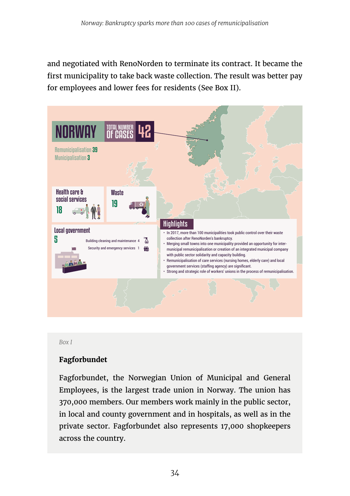and negotiated with RenoNorden to terminate its contract. It became the first municipality to take back waste collection. The result was better pay for employees and lower fees for residents (See Box II).



*Box I*

#### **Fagforbundet**

Fagforbundet, the Norwegian Union of Municipal and General Employees, is the largest trade union in Norway. The union has 370,000 members. Our members work mainly in the public sector, in local and county government and in hospitals, as well as in the private sector. Fagforbundet also represents 17,000 shopkeepers across the country.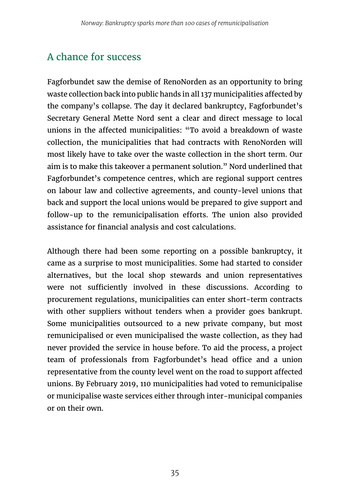## A chance for success

Fagforbundet saw the demise of RenoNorden as an opportunity to bring waste collection back into public hands in all 137 municipalities affected by the company's collapse. The day it declared bankruptcy, Fagforbundet's Secretary General Mette Nord sent a clear and direct message to local unions in the affected municipalities: "To avoid a breakdown of waste collection, the municipalities that had contracts with RenoNorden will most likely have to take over the waste collection in the short term. Our aim is to make this takeover a permanent solution." Nord underlined that Fagforbundet's competence centres, which are regional support centres on labour law and collective agreements, and county-level unions that back and support the local unions would be prepared to give support and follow-up to the remunicipalisation efforts. The union also provided assistance for financial analysis and cost calculations.

Although there had been some reporting on a possible bankruptcy, it came as a surprise to most municipalities. Some had started to consider alternatives, but the local shop stewards and union representatives were not sufficiently involved in these discussions. According to procurement regulations, municipalities can enter short-term contracts with other suppliers without tenders when a provider goes bankrupt. Some municipalities outsourced to a new private company, but most remunicipalised or even municipalised the waste collection, as they had never provided the service in house before. To aid the process, a project team of professionals from Fagforbundet's head office and a union representative from the county level went on the road to support affected unions. By February 2019, 110 municipalities had voted to remunicipalise or municipalise waste services either through inter-municipal companies or on their own.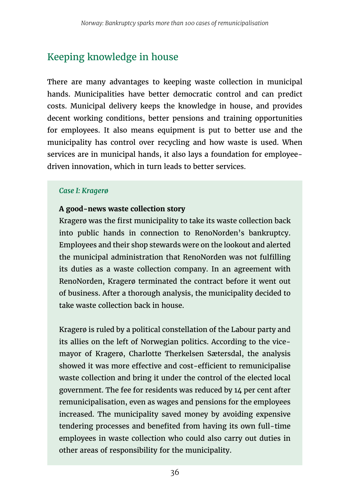# Keeping knowledge in house

There are many advantages to keeping waste collection in municipal hands. Municipalities have better democratic control and can predict costs. Municipal delivery keeps the knowledge in house, and provides decent working conditions, better pensions and training opportunities for employees. It also means equipment is put to better use and the municipality has control over recycling and how waste is used. When services are in municipal hands, it also lays a foundation for employeedriven innovation, which in turn leads to better services.

#### *Case I: Kragerø*

#### **A good-news waste collection story**

Kragerø was the first municipality to take its waste collection back into public hands in connection to RenoNorden's bankruptcy. Employees and their shop stewards were on the lookout and alerted the municipal administration that RenoNorden was not fulfilling its duties as a waste collection company. In an agreement with RenoNorden, Kragerø terminated the contract before it went out of business. After a thorough analysis, the municipality decided to take waste collection back in house.

Kragerø is ruled by a political constellation of the Labour party and its allies on the left of Norwegian politics. According to the vicemayor of Kragerø, Charlotte Therkelsen Sætersdal, the analysis showed it was more effective and cost-efficient to remunicipalise waste collection and bring it under the control of the elected local government. The fee for residents was reduced by 14 per cent after remunicipalisation, even as wages and pensions for the employees increased. The municipality saved money by avoiding expensive tendering processes and benefited from having its own full-time employees in waste collection who could also carry out duties in other areas of responsibility for the municipality.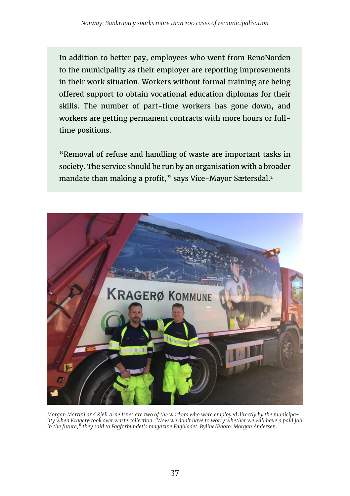In addition to better pay, employees who went from RenoNorden to the municipality as their employer are reporting improvements in their work situation. Workers without formal training are being offered support to obtain vocational education diplomas for their skills. The number of part-time workers has gone down, and workers are getting permanent contracts with more hours or fulltime positions.

"Removal of refuse and handling of waste are important tasks in society. The service should be run by an organisation with a broader mandate than making a profit," says Vice-Mayor Sætersdal.<sup>2</sup>



Morgan Martini and Kjell Arne Isnes are two of the workers who were employed directly by the municipa-<br>lity when Kragerø took over waste collection. "Now we don't have to worry whether we will have a paid job *in the future," they said to Fagforbundet's magazine Fagbladet. Byline/Photo: Morgan Andersen.*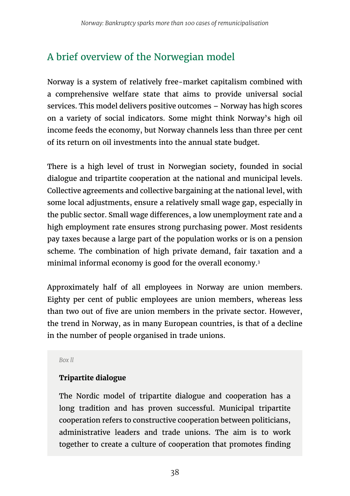## A brief overview of the Norwegian model

Norway is a system of relatively free-market capitalism combined with a comprehensive welfare state that aims to provide universal social services. This model delivers positive outcomes – Norway has high scores on a variety of social indicators. Some might think Norway's high oil income feeds the economy, but Norway channels less than three per cent of its return on oil investments into the annual state budget.

There is a high level of trust in Norwegian society, founded in social dialogue and tripartite cooperation at the national and municipal levels. Collective agreements and collective bargaining at the national level, with some local adjustments, ensure a relatively small wage gap, especially in the public sector. Small wage differences, a low unemployment rate and a high employment rate ensures strong purchasing power. Most residents pay taxes because a large part of the population works or is on a pension scheme. The combination of high private demand, fair taxation and a minimal informal economy is good for the overall economy.3

Approximately half of all employees in Norway are union members. Eighty per cent of public employees are union members, whereas less than two out of five are union members in the private sector. However, the trend in Norway, as in many European countries, is that of a decline in the number of people organised in trade unions.

*Box ll*

#### **Tripartite dialogue**

The Nordic model of tripartite dialogue and cooperation has a long tradition and has proven successful. Municipal tripartite cooperation refers to constructive cooperation between politicians, administrative leaders and trade unions. The aim is to work together to create a culture of cooperation that promotes finding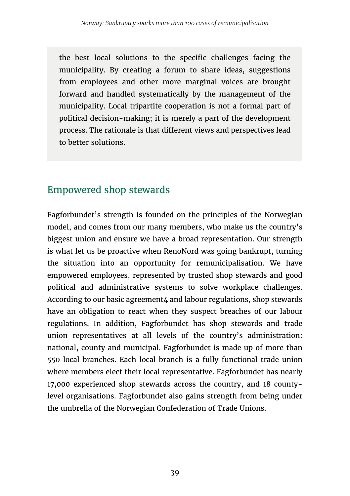the best local solutions to the specific challenges facing the municipality. By creating a forum to share ideas, suggestions from employees and other more marginal voices are brought forward and handled systematically by the management of the municipality. Local tripartite cooperation is not a formal part of political decision-making; it is merely a part of the development process. The rationale is that different views and perspectives lead to better solutions.

#### Empowered shop stewards

Fagforbundet's strength is founded on the principles of the Norwegian model, and comes from our many members, who make us the country's biggest union and ensure we have a broad representation. Our strength is what let us be proactive when RenoNord was going bankrupt, turning the situation into an opportunity for remunicipalisation. We have empowered employees, represented by trusted shop stewards and good political and administrative systems to solve workplace challenges. According to our basic agreement4 and labour regulations, shop stewards have an obligation to react when they suspect breaches of our labour regulations. In addition, Fagforbundet has shop stewards and trade union representatives at all levels of the country's administration: national, county and municipal. Fagforbundet is made up of more than 550 local branches. Each local branch is a fully functional trade union where members elect their local representative. Fagforbundet has nearly 17,000 experienced shop stewards across the country, and 18 countylevel organisations. Fagforbundet also gains strength from being under the umbrella of the Norwegian Confederation of Trade Unions.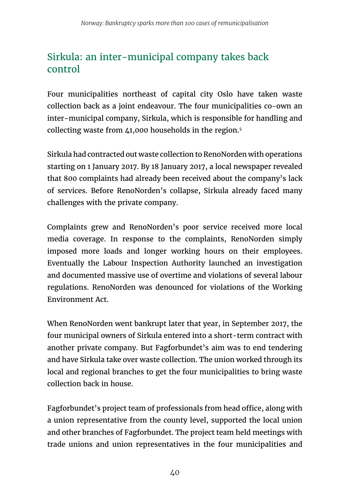## Sirkula: an inter-municipal company takes back control

Four municipalities northeast of capital city Oslo have taken waste collection back as a joint endeavour. The four municipalities co-own an inter-municipal company, Sirkula, which is responsible for handling and collecting waste from 41,000 households in the region.5

Sirkula had contracted out waste collection to RenoNorden with operations starting on 1 January 2017. By 18 January 2017, a local newspaper revealed that 800 complaints had already been received about the company's lack of services. Before RenoNorden's collapse, Sirkula already faced many challenges with the private company.

Complaints grew and RenoNorden's poor service received more local media coverage. In response to the complaints, RenoNorden simply imposed more loads and longer working hours on their employees. Eventually the Labour Inspection Authority launched an investigation and documented massive use of overtime and violations of several labour regulations. RenoNorden was denounced for violations of the Working Environment Act.

When RenoNorden went bankrupt later that year, in September 2017, the four municipal owners of Sirkula entered into a short-term contract with another private company. But Fagforbundet's aim was to end tendering and have Sirkula take over waste collection. The union worked through its local and regional branches to get the four municipalities to bring waste collection back in house.

Fagforbundet's project team of professionals from head office, along with a union representative from the county level, supported the local union and other branches of Fagforbundet. The project team held meetings with trade unions and union representatives in the four municipalities and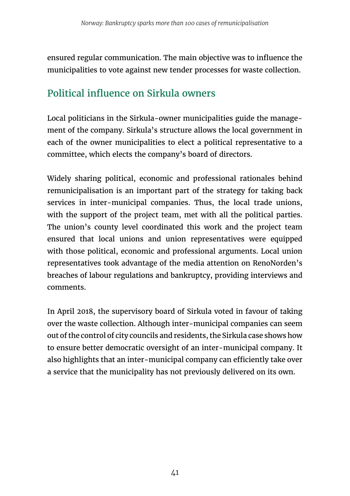ensured regular communication. The main objective was to influence the municipalities to vote against new tender processes for waste collection.

## Political influence on Sirkula owners

Local politicians in the Sirkula-owner municipalities guide the management of the company. Sirkula's structure allows the local government in each of the owner municipalities to elect a political representative to a committee, which elects the company's board of directors.

Widely sharing political, economic and professional rationales behind remunicipalisation is an important part of the strategy for taking back services in inter-municipal companies. Thus, the local trade unions, with the support of the project team, met with all the political parties. The union's county level coordinated this work and the project team ensured that local unions and union representatives were equipped with those political, economic and professional arguments. Local union representatives took advantage of the media attention on RenoNorden's breaches of labour regulations and bankruptcy, providing interviews and comments.

In April 2018, the supervisory board of Sirkula voted in favour of taking over the waste collection. Although inter-municipal companies can seem out of the control of city councils and residents, the Sirkula case shows how to ensure better democratic oversight of an inter-municipal company. It also highlights that an inter-municipal company can efficiently take over a service that the municipality has not previously delivered on its own.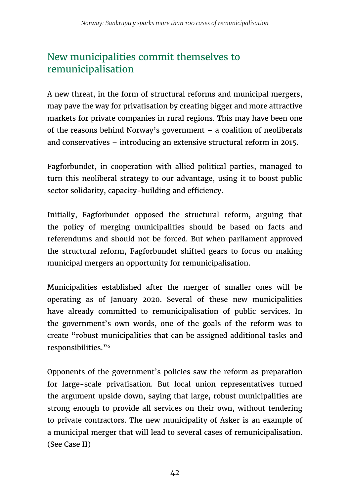## New municipalities commit themselves to remunicipalisation

A new threat, in the form of structural reforms and municipal mergers, may pave the way for privatisation by creating bigger and more attractive markets for private companies in rural regions. This may have been one of the reasons behind Norway's government – a coalition of neoliberals and conservatives – introducing an extensive structural reform in 2015.

Fagforbundet, in cooperation with allied political parties, managed to turn this neoliberal strategy to our advantage, using it to boost public sector solidarity, capacity-building and efficiency.

Initially, Fagforbundet opposed the structural reform, arguing that the policy of merging municipalities should be based on facts and referendums and should not be forced. But when parliament approved the structural reform, Fagforbundet shifted gears to focus on making municipal mergers an opportunity for remunicipalisation.

Municipalities established after the merger of smaller ones will be operating as of January 2020. Several of these new municipalities have already committed to remunicipalisation of public services. In the government's own words, one of the goals of the reform was to create "robust municipalities that can be assigned additional tasks and responsibilities."6

Opponents of the government's policies saw the reform as preparation for large-scale privatisation. But local union representatives turned the argument upside down, saying that large, robust municipalities are strong enough to provide all services on their own, without tendering to private contractors. The new municipality of Asker is an example of a municipal merger that will lead to several cases of remunicipalisation. (See Case II)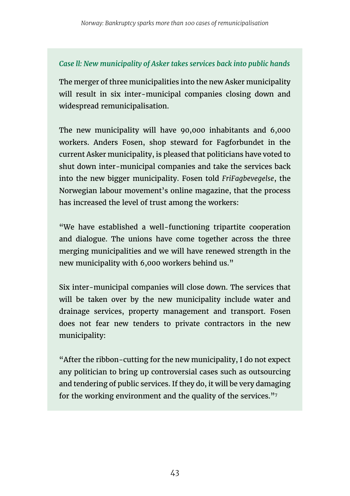#### *Case ll: New municipality of Asker takes services back into public hands*

The merger of three municipalities into the new Asker municipality will result in six inter-municipal companies closing down and widespread remunicipalisation.

The new municipality will have 90,000 inhabitants and 6,000 workers. Anders Fosen, shop steward for Fagforbundet in the current Asker municipality, is pleased that politicians have voted to shut down inter-municipal companies and take the services back into the new bigger municipality. Fosen told *FriFagbevegelse*, the Norwegian labour movement's online magazine, that the process has increased the level of trust among the workers:

"We have established a well-functioning tripartite cooperation and dialogue. The unions have come together across the three merging municipalities and we will have renewed strength in the new municipality with 6,000 workers behind us."

Six inter-municipal companies will close down. The services that will be taken over by the new municipality include water and drainage services, property management and transport. Fosen does not fear new tenders to private contractors in the new municipality:

"After the ribbon-cutting for the new municipality, I do not expect any politician to bring up controversial cases such as outsourcing and tendering of public services. If they do, it will be very damaging for the working environment and the quality of the services."7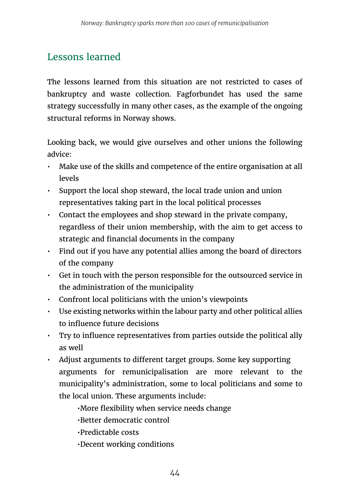## Lessons learned

The lessons learned from this situation are not restricted to cases of bankruptcy and waste collection. Fagforbundet has used the same strategy successfully in many other cases, as the example of the ongoing structural reforms in Norway shows.

Looking back, we would give ourselves and other unions the following advice:

- Make use of the skills and competence of the entire organisation at all levels
- Support the local shop steward, the local trade union and union representatives taking part in the local political processes
- Contact the employees and shop steward in the private company, regardless of their union membership, with the aim to get access to strategic and financial documents in the company
- Find out if you have any potential allies among the board of directors of the company
- Get in touch with the person responsible for the outsourced service in the administration of the municipality
- Confront local politicians with the union's viewpoints
- Use existing networks within the labour party and other political allies to influence future decisions
- Try to influence representatives from parties outside the political ally as well
- Adjust arguments to different target groups. Some key supporting arguments for remunicipalisation are more relevant to the municipality's administration, some to local politicians and some to the local union. These arguments include:

•More flexibility when service needs change

•Better democratic control

•Predictable costs

•Decent working conditions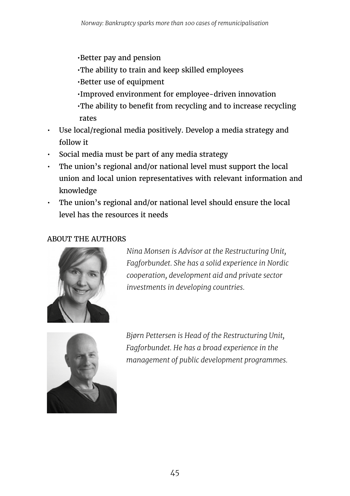•Better pay and pension

- •The ability to train and keep skilled employees
- •Better use of equipment
- •Improved environment for employee-driven innovation
- •The ability to benefit from recycling and to increase recycling rates
- Use local/regional media positively. Develop a media strategy and follow it
- Social media must be part of any media strategy
- The union's regional and/or national level must support the local union and local union representatives with relevant information and knowledge
- The union's regional and/or national level should ensure the local level has the resources it needs

#### ABOUT THE AUTHORS



*Nina Monsen is Advisor at the Restructuring Unit, Fagforbundet. She has a solid experience in Nordic cooperation, development aid and private sector investments in developing countries.*



*Bjørn Pettersen is Head of the Restructuring Unit, Fagforbundet. He has a broad experience in the management of public development programmes.*